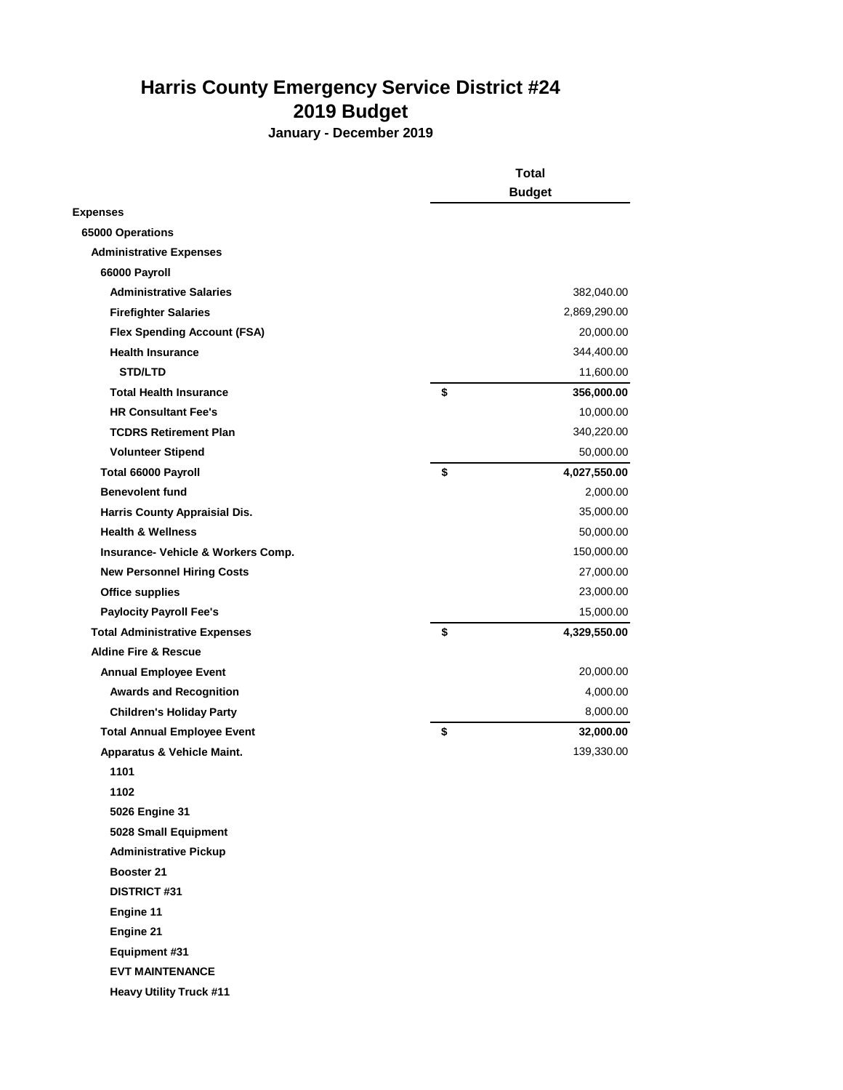## **Harris County Emergency Service District #24 2019 Budget**

**January - December 2019**

|                                      | <b>Total</b>  |              |
|--------------------------------------|---------------|--------------|
|                                      | <b>Budget</b> |              |
| <b>Expenses</b>                      |               |              |
| 65000 Operations                     |               |              |
| <b>Administrative Expenses</b>       |               |              |
| 66000 Payroll                        |               |              |
| <b>Administrative Salaries</b>       |               | 382,040.00   |
| <b>Firefighter Salaries</b>          |               | 2,869,290.00 |
| <b>Flex Spending Account (FSA)</b>   |               | 20,000.00    |
| <b>Health Insurance</b>              |               | 344,400.00   |
| <b>STD/LTD</b>                       |               | 11,600.00    |
| <b>Total Health Insurance</b>        | \$            | 356,000.00   |
| <b>HR Consultant Fee's</b>           |               | 10,000.00    |
| <b>TCDRS Retirement Plan</b>         |               | 340,220.00   |
| <b>Volunteer Stipend</b>             |               | 50,000.00    |
| Total 66000 Payroll                  | \$            | 4,027,550.00 |
| <b>Benevolent fund</b>               |               | 2,000.00     |
| Harris County Appraisial Dis.        |               | 35,000.00    |
| <b>Health &amp; Wellness</b>         |               | 50,000.00    |
| Insurance- Vehicle & Workers Comp.   |               | 150,000.00   |
| <b>New Personnel Hiring Costs</b>    |               | 27,000.00    |
| <b>Office supplies</b>               |               | 23,000.00    |
| <b>Paylocity Payroll Fee's</b>       |               | 15,000.00    |
| <b>Total Administrative Expenses</b> | \$            | 4,329,550.00 |
| <b>Aldine Fire &amp; Rescue</b>      |               |              |
| <b>Annual Employee Event</b>         |               | 20,000.00    |
| <b>Awards and Recognition</b>        |               | 4,000.00     |
| <b>Children's Holiday Party</b>      |               | 8,000.00     |
| <b>Total Annual Employee Event</b>   | \$            | 32,000.00    |
| Apparatus & Vehicle Maint.           |               | 139,330.00   |
| 1101                                 |               |              |
| 1102                                 |               |              |
| <b>5026 Engine 31</b>                |               |              |
| 5028 Small Equipment                 |               |              |
| <b>Administrative Pickup</b>         |               |              |
| Booster 21                           |               |              |
| <b>DISTRICT #31</b>                  |               |              |
| Engine 11                            |               |              |
| Engine 21                            |               |              |
| Equipment #31                        |               |              |
| <b>EVT MAINTENANCE</b>               |               |              |

 **Heavy Utility Truck #11**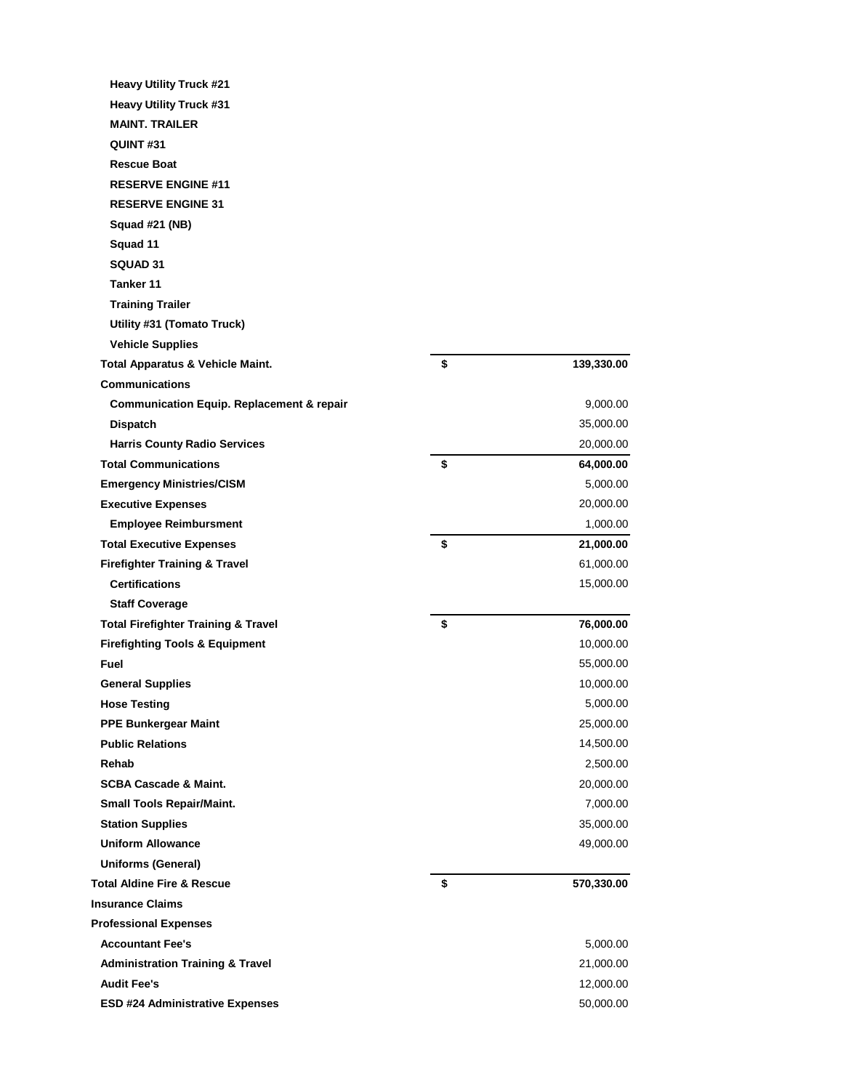| <b>Heavy Utility Truck #21</b>                                   |                  |
|------------------------------------------------------------------|------------------|
| <b>Heavy Utility Truck #31</b>                                   |                  |
| <b>MAINT, TRAILER</b>                                            |                  |
| QUINT#31                                                         |                  |
| <b>Rescue Boat</b>                                               |                  |
| <b>RESERVE ENGINE #11</b>                                        |                  |
| <b>RESERVE ENGINE 31</b>                                         |                  |
| Squad #21 (NB)                                                   |                  |
| Squad 11                                                         |                  |
| SQUAD 31                                                         |                  |
| Tanker 11                                                        |                  |
| <b>Training Trailer</b>                                          |                  |
| Utility #31 (Tomato Truck)                                       |                  |
| <b>Vehicle Supplies</b>                                          |                  |
| Total Apparatus & Vehicle Maint.                                 | \$<br>139,330.00 |
| <b>Communications</b>                                            |                  |
| <b>Communication Equip. Replacement &amp; repair</b>             | 9,000.00         |
| <b>Dispatch</b>                                                  | 35,000.00        |
| <b>Harris County Radio Services</b>                              | 20,000.00        |
| <b>Total Communications</b>                                      | \$<br>64,000.00  |
| <b>Emergency Ministries/CISM</b>                                 | 5,000.00         |
| <b>Executive Expenses</b>                                        | 20,000.00        |
| <b>Employee Reimbursment</b>                                     | 1,000.00         |
| <b>Total Executive Expenses</b>                                  | \$<br>21,000.00  |
| <b>Firefighter Training &amp; Travel</b>                         | 61,000.00        |
| <b>Certifications</b>                                            | 15,000.00        |
| <b>Staff Coverage</b>                                            |                  |
| <b>Total Firefighter Training &amp; Travel</b>                   | \$<br>76,000.00  |
| <b>Firefighting Tools &amp; Equipment</b>                        | 10,000.00        |
| Fuel                                                             | 55,000.00        |
| <b>General Supplies</b>                                          | 10,000.00        |
| <b>Hose Testing</b>                                              | 5,000.00         |
| <b>PPE Bunkergear Maint</b>                                      | 25,000.00        |
| <b>Public Relations</b>                                          | 14,500.00        |
| Rehab                                                            | 2,500.00         |
| <b>SCBA Cascade &amp; Maint.</b>                                 | 20,000.00        |
| <b>Small Tools Repair/Maint.</b>                                 | 7,000.00         |
| <b>Station Supplies</b><br><b>Uniform Allowance</b>              | 35,000.00        |
|                                                                  | 49,000.00        |
| <b>Uniforms (General)</b>                                        |                  |
| <b>Total Aldine Fire &amp; Rescue</b><br><b>Insurance Claims</b> | \$<br>570,330.00 |
|                                                                  |                  |
| <b>Professional Expenses</b><br><b>Accountant Fee's</b>          | 5,000.00         |
| <b>Administration Training &amp; Travel</b>                      | 21,000.00        |
| <b>Audit Fee's</b>                                               | 12,000.00        |
|                                                                  | 50,000.00        |
| <b>ESD #24 Administrative Expenses</b>                           |                  |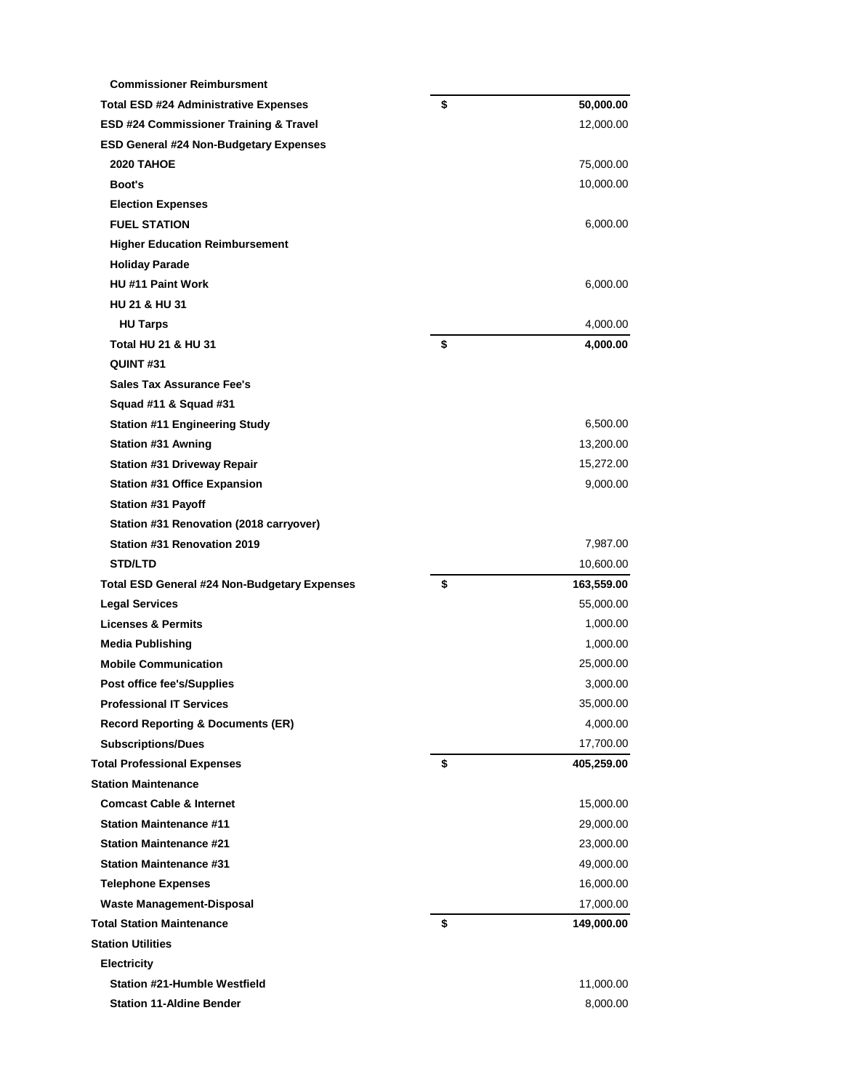| <b>Commissioner Reimbursment</b>                                                                    |                  |
|-----------------------------------------------------------------------------------------------------|------------------|
| <b>Total ESD #24 Administrative Expenses</b>                                                        | \$<br>50,000.00  |
| ESD #24 Commissioner Training & Travel                                                              | 12,000.00        |
| <b>ESD General #24 Non-Budgetary Expenses</b>                                                       |                  |
| <b>2020 TAHOE</b>                                                                                   | 75,000.00        |
| Boot's                                                                                              | 10,000.00        |
| <b>Election Expenses</b>                                                                            |                  |
| <b>FUEL STATION</b>                                                                                 | 6,000.00         |
| <b>Higher Education Reimbursement</b>                                                               |                  |
| <b>Holiday Parade</b>                                                                               |                  |
| HU#11 Paint Work                                                                                    | 6,000.00         |
| <b>HU 21 &amp; HU 31</b>                                                                            |                  |
| <b>HU Tarps</b>                                                                                     | 4,000.00         |
| <b>Total HU 21 &amp; HU 31</b>                                                                      | \$<br>4,000.00   |
| QUINT#31                                                                                            |                  |
| <b>Sales Tax Assurance Fee's</b>                                                                    |                  |
| Squad #11 & Squad #31                                                                               |                  |
| <b>Station #11 Engineering Study</b>                                                                | 6,500.00         |
| <b>Station #31 Awning</b>                                                                           | 13,200.00        |
| <b>Station #31 Driveway Repair</b>                                                                  | 15,272.00        |
| <b>Station #31 Office Expansion</b>                                                                 | 9,000.00         |
| Station #31 Payoff                                                                                  |                  |
| Station #31 Renovation (2018 carryover)                                                             |                  |
| Station #31 Renovation 2019                                                                         | 7,987.00         |
| <b>STD/LTD</b>                                                                                      | 10,600.00        |
| <b>Total ESD General #24 Non-Budgetary Expenses</b>                                                 | \$<br>163,559.00 |
| <b>Legal Services</b>                                                                               | 55,000.00        |
| <b>Licenses &amp; Permits</b>                                                                       | 1,000.00         |
| <b>Media Publishing</b>                                                                             | 1,000.00         |
| <b>Mobile Communication</b>                                                                         | 25,000.00        |
| Post office fee's/Supplies                                                                          | 3,000.00         |
| <b>Professional IT Services</b>                                                                     | 35,000.00        |
| <b>Record Reporting &amp; Documents (ER)</b>                                                        | 4,000.00         |
| <b>Subscriptions/Dues</b>                                                                           | 17,700.00        |
| <b>Total Professional Expenses</b>                                                                  | \$<br>405,259.00 |
| <b>Station Maintenance</b>                                                                          |                  |
| <b>Comcast Cable &amp; Internet</b>                                                                 | 15,000.00        |
| <b>Station Maintenance #11</b>                                                                      | 29,000.00        |
| <b>Station Maintenance #21</b>                                                                      | 23,000.00        |
| <b>Station Maintenance #31</b>                                                                      | 49,000.00        |
| <b>Telephone Expenses</b>                                                                           | 16,000.00        |
| <b>Waste Management-Disposal</b>                                                                    | 17,000.00        |
|                                                                                                     | \$<br>149,000.00 |
|                                                                                                     |                  |
|                                                                                                     |                  |
| <b>Electricity</b>                                                                                  |                  |
| <b>Total Station Maintenance</b><br><b>Station Utilities</b><br><b>Station #21-Humble Westfield</b> | 11,000.00        |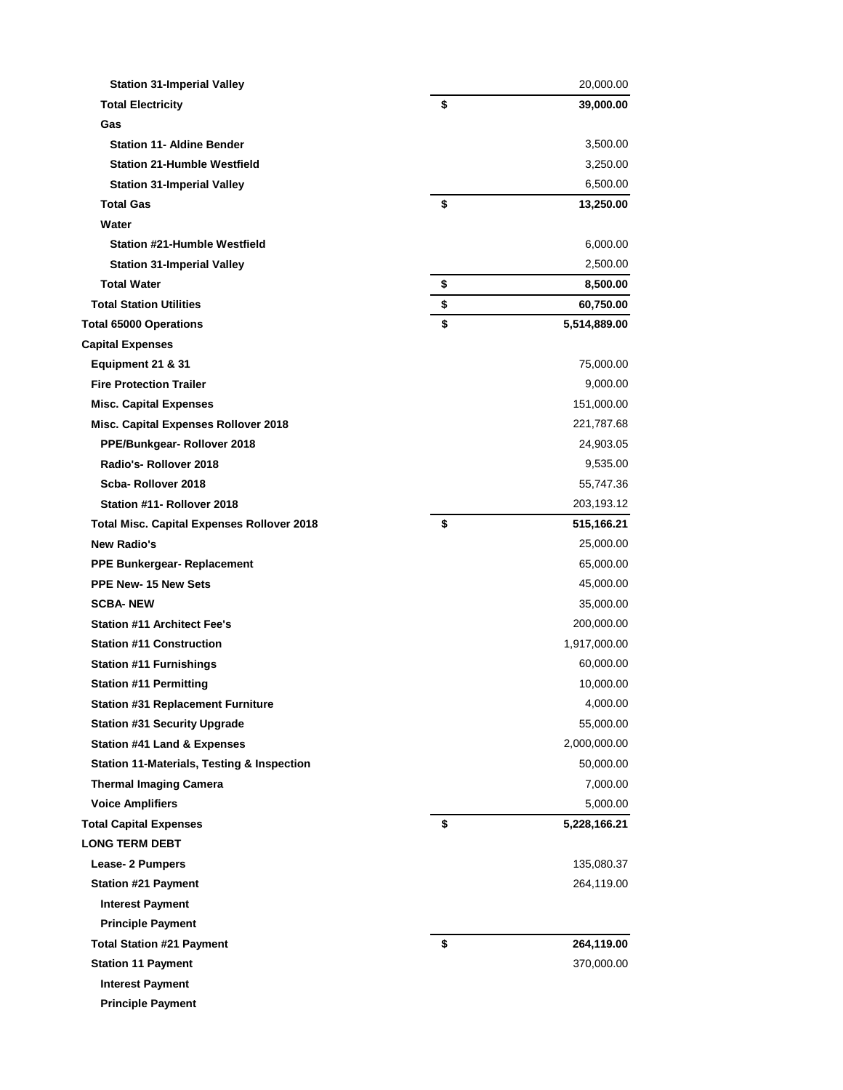| <b>Station 31-Imperial Valley</b>                     | 20,000.00          |
|-------------------------------------------------------|--------------------|
| <b>Total Electricity</b>                              | \$<br>39,000.00    |
| Gas                                                   |                    |
| <b>Station 11- Aldine Bender</b>                      | 3,500.00           |
| <b>Station 21-Humble Westfield</b>                    | 3,250.00           |
| <b>Station 31-Imperial Valley</b>                     | 6,500.00           |
| <b>Total Gas</b>                                      | \$<br>13,250.00    |
| Water                                                 |                    |
| <b>Station #21-Humble Westfield</b>                   | 6,000.00           |
| <b>Station 31-Imperial Valley</b>                     | 2,500.00           |
| <b>Total Water</b>                                    | \$<br>8,500.00     |
| <b>Total Station Utilities</b>                        | \$<br>60,750.00    |
| <b>Total 65000 Operations</b>                         | \$<br>5,514,889.00 |
| <b>Capital Expenses</b>                               |                    |
| Equipment 21 & 31                                     | 75,000.00          |
| <b>Fire Protection Trailer</b>                        | 9,000.00           |
| <b>Misc. Capital Expenses</b>                         | 151,000.00         |
| Misc. Capital Expenses Rollover 2018                  | 221,787.68         |
| PPE/Bunkgear-Rollover 2018                            | 24,903.05          |
| Radio's-Rollover 2018                                 | 9,535.00           |
| Scba-Rollover 2018                                    | 55,747.36          |
| Station #11- Rollover 2018                            | 203,193.12         |
| <b>Total Misc. Capital Expenses Rollover 2018</b>     | \$<br>515,166.21   |
| <b>New Radio's</b>                                    | 25,000.00          |
| <b>PPE Bunkergear- Replacement</b>                    | 65,000.00          |
| <b>PPE New-15 New Sets</b>                            | 45,000.00          |
| <b>SCBA-NEW</b>                                       | 35,000.00          |
| <b>Station #11 Architect Fee's</b>                    | 200,000.00         |
| <b>Station #11 Construction</b>                       | 1,917,000.00       |
| <b>Station #11 Furnishings</b>                        | 60,000.00          |
| <b>Station #11 Permitting</b>                         | 10,000.00          |
| <b>Station #31 Replacement Furniture</b>              | 4,000.00           |
| <b>Station #31 Security Upgrade</b>                   | 55,000.00          |
| <b>Station #41 Land &amp; Expenses</b>                | 2,000,000.00       |
| <b>Station 11-Materials, Testing &amp; Inspection</b> | 50,000.00          |
| <b>Thermal Imaging Camera</b>                         | 7,000.00           |
| <b>Voice Amplifiers</b>                               | 5,000.00           |
| <b>Total Capital Expenses</b>                         | \$<br>5,228,166.21 |
| <b>LONG TERM DEBT</b>                                 |                    |
| Lease- 2 Pumpers                                      | 135,080.37         |
| <b>Station #21 Payment</b>                            | 264,119.00         |
| <b>Interest Payment</b>                               |                    |
| <b>Principle Payment</b>                              |                    |
| <b>Total Station #21 Payment</b>                      | \$<br>264,119.00   |
| <b>Station 11 Payment</b>                             | 370,000.00         |
| <b>Interest Payment</b>                               |                    |
| <b>Principle Payment</b>                              |                    |